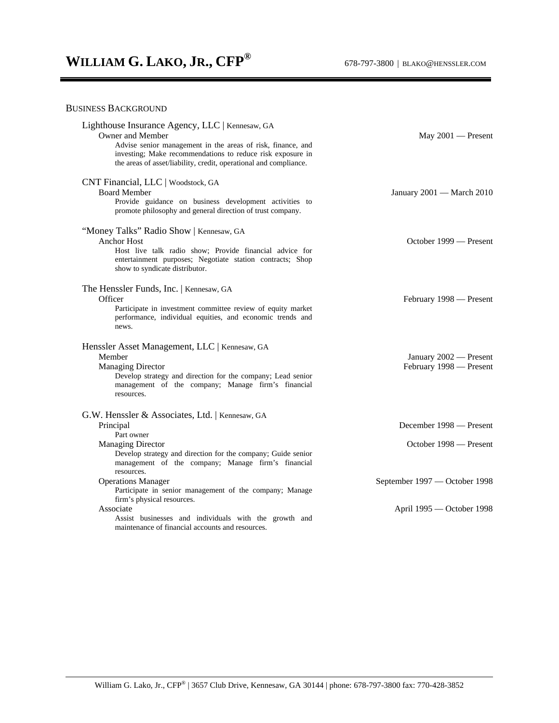## BUSINESS BACKGROUND

| May $2001$ - Present                                                                                            |
|-----------------------------------------------------------------------------------------------------------------|
| January 2001 - March 2010                                                                                       |
| October 1999 — Present                                                                                          |
| February 1998 — Present                                                                                         |
| January 2002 - Present<br>February 1998 - Present                                                               |
| December 1998 — Present<br>October 1998 — Present<br>September 1997 — October 1998<br>April 1995 - October 1998 |
|                                                                                                                 |